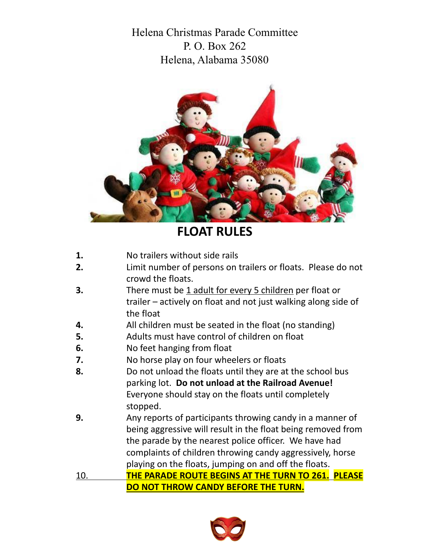Helena Christmas Parade Committee P. O. Box  $262$ Helena, Alabama 35080



## **FLOAT RULES**

- **1.** No trailers without side rails
- **2.** Limit number of persons on trailers or floats. Please do not crowd the floats.
- **3.** There must be 1 adult for every 5 children per float or trailer – actively on float and not just walking along side of the float
- **4.** All children must be seated in the float (no standing)
- **5.** Adults must have control of children on float
- **6.** No feet hanging from float
- **7.** No horse play on four wheelers or floats
- **8.** Do not unload the floats until they are at the school bus parking lot. **Do not unload at the Railroad Avenue!** Everyone should stay on the floats until completely stopped.
- **9.** Any reports of participants throwing candy in a manner of being aggressive will result in the float being removed from the parade by the nearest police officer. We have had complaints of children throwing candy aggressively, horse playing on the floats, jumping on and off the floats.

10. **THE PARADE ROUTE BEGINS AT THE TURN TO 261. PLEASE DO NOT THROW CANDY BEFORE THE TURN.**